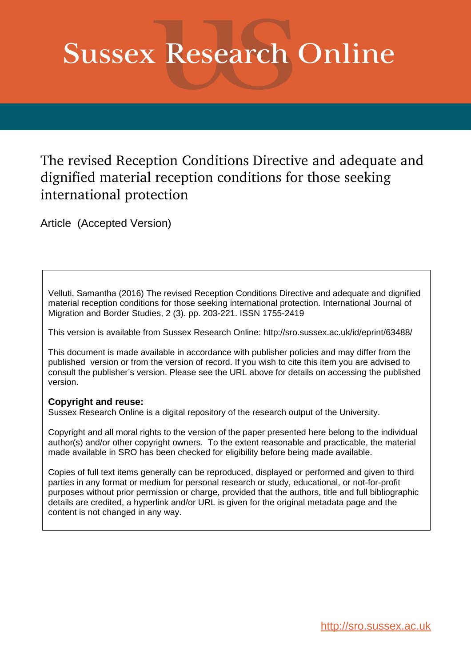# **Sussex Research Online**

# The revised Reception Conditions Directive and adequate and dignified material reception conditions for those seeking international protection

Article (Accepted Version)

Velluti, Samantha (2016) The revised Reception Conditions Directive and adequate and dignified material reception conditions for those seeking international protection. International Journal of Migration and Border Studies, 2 (3). pp. 203-221. ISSN 1755-2419

This version is available from Sussex Research Online: http://sro.sussex.ac.uk/id/eprint/63488/

This document is made available in accordance with publisher policies and may differ from the published version or from the version of record. If you wish to cite this item you are advised to consult the publisher's version. Please see the URL above for details on accessing the published version.

#### **Copyright and reuse:**

Sussex Research Online is a digital repository of the research output of the University.

Copyright and all moral rights to the version of the paper presented here belong to the individual author(s) and/or other copyright owners. To the extent reasonable and practicable, the material made available in SRO has been checked for eligibility before being made available.

Copies of full text items generally can be reproduced, displayed or performed and given to third parties in any format or medium for personal research or study, educational, or not-for-profit purposes without prior permission or charge, provided that the authors, title and full bibliographic details are credited, a hyperlink and/or URL is given for the original metadata page and the content is not changed in any way.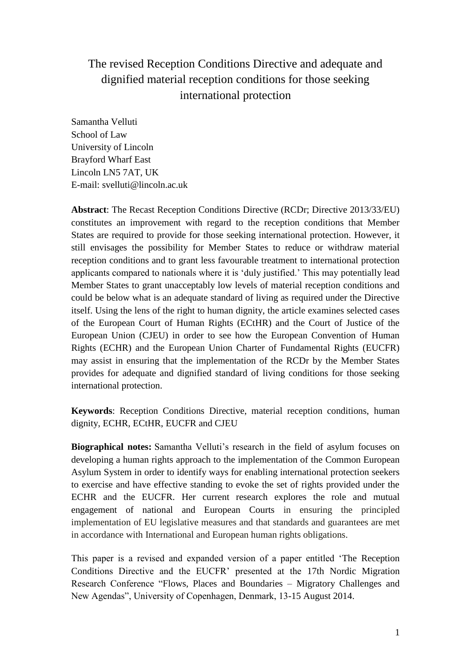# The revised Reception Conditions Directive and adequate and dignified material reception conditions for those seeking international protection

Samantha Velluti School of Law University of Lincoln Brayford Wharf East Lincoln LN5 7AT, UK E-mail: svelluti@lincoln.ac.uk

**Abstract**: The Recast Reception Conditions Directive (RCDr; Directive 2013/33/EU) constitutes an improvement with regard to the reception conditions that Member States are required to provide for those seeking international protection. However, it still envisages the possibility for Member States to reduce or withdraw material reception conditions and to grant less favourable treatment to international protection applicants compared to nationals where it is 'duly justified.' This may potentially lead Member States to grant unacceptably low levels of material reception conditions and could be below what is an adequate standard of living as required under the Directive itself. Using the lens of the right to human dignity, the article examines selected cases of the European Court of Human Rights (ECtHR) and the Court of Justice of the European Union (CJEU) in order to see how the European Convention of Human Rights (ECHR) and the European Union Charter of Fundamental Rights (EUCFR) may assist in ensuring that the implementation of the RCDr by the Member States provides for adequate and dignified standard of living conditions for those seeking international protection.

**Keywords**: Reception Conditions Directive, material reception conditions, human dignity, ECHR, ECtHR, EUCFR and CJEU

**Biographical notes:** Samantha Velluti's research in the field of asylum focuses on developing a human rights approach to the implementation of the Common European Asylum System in order to identify ways for enabling international protection seekers to exercise and have effective standing to evoke the set of rights provided under the ECHR and the EUCFR. Her current research explores the role and mutual engagement of national and European Courts in ensuring the principled implementation of EU legislative measures and that standards and guarantees are met in accordance with International and European human rights obligations.

This paper is a revised and expanded version of a paper entitled 'The Reception Conditions Directive and the EUCFR' presented at the 17th Nordic Migration Research Conference "Flows, Places and Boundaries – Migratory Challenges and New Agendas", University of Copenhagen, Denmark, 13-15 August 2014.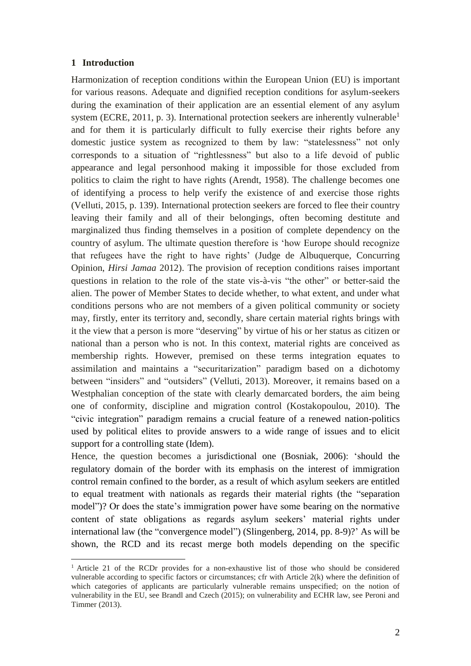#### **1 Introduction**

Harmonization of reception conditions within the European Union (EU) is important for various reasons. Adequate and dignified reception conditions for asylum-seekers during the examination of their application are an essential element of any asylum system (ECRE, 2011, p. 3). International protection seekers are inherently vulnerable<sup>1</sup> and for them it is particularly difficult to fully exercise their rights before any domestic justice system as recognized to them by law: "statelessness" not only corresponds to a situation of "rightlessness" but also to a life devoid of public appearance and legal personhood making it impossible for those excluded from politics to claim the right to have rights (Arendt, 1958). The challenge becomes one of identifying a process to help verify the existence of and exercise those rights (Velluti, 2015, p. 139). International protection seekers are forced to flee their country leaving their family and all of their belongings, often becoming destitute and marginalized thus finding themselves in a position of complete dependency on the country of asylum. The ultimate question therefore is 'how Europe should recognize that refugees have the right to have rights' (Judge de Albuquerque, Concurring Opinion, *Hirsi Jamaa* 2012). The provision of reception conditions raises important questions in relation to the role of the state vis-à-vis "the other" or better-said the alien. The power of Member States to decide whether, to what extent, and under what conditions persons who are not members of a given political community or society may, firstly, enter its territory and, secondly, share certain material rights brings with it the view that a person is more "deserving" by virtue of his or her status as citizen or national than a person who is not. In this context, material rights are conceived as membership rights. However, premised on these terms integration equates to assimilation and maintains a "securitarization" paradigm based on a dichotomy between "insiders" and "outsiders" (Velluti, 2013). Moreover, it remains based on a Westphalian conception of the state with clearly demarcated borders, the aim being one of conformity, discipline and migration control (Kostakopoulou, 2010). The "civic integration" paradigm remains a crucial feature of a renewed nation-politics used by political elites to provide answers to a wide range of issues and to elicit support for a controlling state (Idem).

Hence, the question becomes a jurisdictional one (Bosniak, 2006): 'should the regulatory domain of the border with its emphasis on the interest of immigration control remain confined to the border, as a result of which asylum seekers are entitled to equal treatment with nationals as regards their material rights (the "separation model")? Or does the state's immigration power have some bearing on the normative content of state obligations as regards asylum seekers' material rights under international law (the "convergence model") (Slingenberg, 2014, pp. 8-9)?' As will be shown, the RCD and its recast merge both models depending on the specific

<sup>&</sup>lt;sup>1</sup> Article 21 of the RCDr provides for a non-exhaustive list of those who should be considered vulnerable according to specific factors or circumstances; cfr with Article 2(k) where the definition of which categories of applicants are particularly vulnerable remains unspecified; on the notion of vulnerability in the EU, see Brandl and Czech (2015); on vulnerability and ECHR law, see Peroni and Timmer (2013).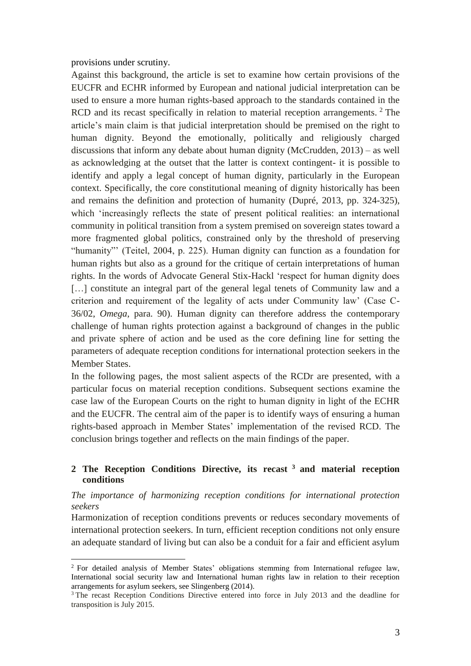provisions under scrutiny.

Against this background, the article is set to examine how certain provisions of the EUCFR and ECHR informed by European and national judicial interpretation can be used to ensure a more human rights-based approach to the standards contained in the RCD and its recast specifically in relation to material reception arrangements. <sup>2</sup> The article's main claim is that judicial interpretation should be premised on the right to human dignity. Beyond the emotionally, politically and religiously charged discussions that inform any debate about human dignity (McCrudden, 2013) – as well as acknowledging at the outset that the latter is context contingent- it is possible to identify and apply a legal concept of human dignity, particularly in the European context. Specifically, the core constitutional meaning of dignity historically has been and remains the definition and protection of humanity (Dupré, 2013, pp. 324-325), which 'increasingly reflects the state of present political realities: an international community in political transition from a system premised on sovereign states toward a more fragmented global politics, constrained only by the threshold of preserving "humanity"' (Teitel, 2004, p. 225). Human dignity can function as a foundation for human rights but also as a ground for the critique of certain interpretations of human rights. In the words of Advocate General Stix-Hackl 'respect for human dignity does [...] constitute an integral part of the general legal tenets of Community law and a criterion and requirement of the legality of acts under Community law' (Case C-36/02, *Omega*, para. 90). Human dignity can therefore address the contemporary challenge of human rights protection against a background of changes in the public and private sphere of action and be used as the core defining line for setting the parameters of adequate reception conditions for international protection seekers in the Member States.

In the following pages, the most salient aspects of the RCDr are presented, with a particular focus on material reception conditions. Subsequent sections examine the case law of the European Courts on the right to human dignity in light of the ECHR and the EUCFR. The central aim of the paper is to identify ways of ensuring a human rights-based approach in Member States' implementation of the revised RCD. The conclusion brings together and reflects on the main findings of the paper.

#### **2 The Reception Conditions Directive, its recast <sup>3</sup> and material reception conditions**

#### *The importance of harmonizing reception conditions for international protection seekers*

Harmonization of reception conditions prevents or reduces secondary movements of international protection seekers. In turn, efficient reception conditions not only ensure an adequate standard of living but can also be a conduit for a fair and efficient asylum

 <sup>2</sup> For detailed analysis of Member States' obligations stemming from International refugee law, International social security law and International human rights law in relation to their reception arrangements for asylum seekers, see Slingenberg (2014).

<sup>&</sup>lt;sup>3</sup> The recast Reception Conditions Directive entered into force in July 2013 and the deadline for transposition is July 2015.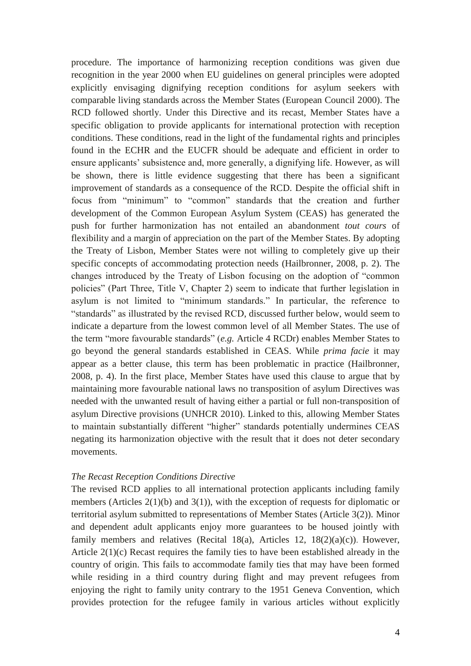procedure. The importance of harmonizing reception conditions was given due recognition in the year 2000 when EU guidelines on general principles were adopted explicitly envisaging dignifying reception conditions for asylum seekers with comparable living standards across the Member States (European Council 2000). The RCD followed shortly. Under this Directive and its recast, Member States have a specific obligation to provide applicants for international protection with reception conditions. These conditions, read in the light of the fundamental rights and principles found in the ECHR and the EUCFR should be adequate and efficient in order to ensure applicants' subsistence and, more generally, a dignifying life. However, as will be shown, there is little evidence suggesting that there has been a significant improvement of standards as a consequence of the RCD. Despite the official shift in focus from "minimum" to "common" standards that the creation and further development of the Common European Asylum System (CEAS) has generated the push for further harmonization has not entailed an abandonment *tout cours* of flexibility and a margin of appreciation on the part of the Member States. By adopting the Treaty of Lisbon, Member States were not willing to completely give up their specific concepts of accommodating protection needs (Hailbronner, 2008, p. 2). The changes introduced by the Treaty of Lisbon focusing on the adoption of "common policies" (Part Three, Title V, Chapter 2) seem to indicate that further legislation in asylum is not limited to "minimum standards." In particular, the reference to "standards" as illustrated by the revised RCD, discussed further below, would seem to indicate a departure from the lowest common level of all Member States. The use of the term "more favourable standards" (*e.g.* Article 4 RCDr) enables Member States to go beyond the general standards established in CEAS. While *prima facie* it may appear as a better clause, this term has been problematic in practice (Hailbronner, 2008, p. 4). In the first place, Member States have used this clause to argue that by maintaining more favourable national laws no transposition of asylum Directives was needed with the unwanted result of having either a partial or full non-transposition of asylum Directive provisions (UNHCR 2010). Linked to this, allowing Member States to maintain substantially different "higher" standards potentially undermines CEAS negating its harmonization objective with the result that it does not deter secondary movements.

#### *The Recast Reception Conditions Directive*

The revised RCD applies to all international protection applicants including family members (Articles  $2(1)(b)$  and  $3(1)$ ), with the exception of requests for diplomatic or territorial asylum submitted to representations of Member States (Article 3(2)). Minor and dependent adult applicants enjoy more guarantees to be housed jointly with family members and relatives (Recital 18(a), Articles 12,  $18(2)(a)(c)$ ). However, Article  $2(1)(c)$  Recast requires the family ties to have been established already in the country of origin. This fails to accommodate family ties that may have been formed while residing in a third country during flight and may prevent refugees from enjoying the right to family unity contrary to the 1951 Geneva Convention, which provides protection for the refugee family in various articles without explicitly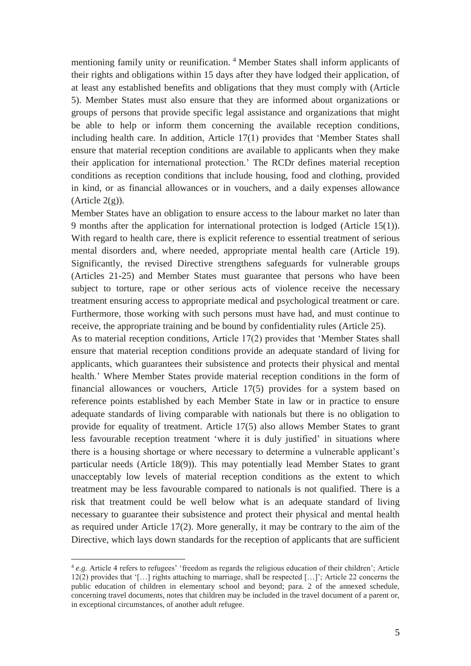mentioning family unity or reunification. <sup>4</sup> Member States shall inform applicants of their rights and obligations within 15 days after they have lodged their application, of at least any established benefits and obligations that they must comply with (Article 5). Member States must also ensure that they are informed about organizations or groups of persons that provide specific legal assistance and organizations that might be able to help or inform them concerning the available reception conditions, including health care. In addition, Article 17(1) provides that 'Member States shall ensure that material reception conditions are available to applicants when they make their application for international protection.' The RCDr defines material reception conditions as reception conditions that include housing, food and clothing, provided in kind, or as financial allowances or in vouchers, and a daily expenses allowance  $(A$ rticle  $2(g)$ ).

Member States have an obligation to ensure access to the labour market no later than 9 months after the application for international protection is lodged (Article 15(1)). With regard to health care, there is explicit reference to essential treatment of serious mental disorders and, where needed, appropriate mental health care (Article 19). Significantly, the revised Directive strengthens safeguards for vulnerable groups (Articles 21-25) and Member States must guarantee that persons who have been subject to torture, rape or other serious acts of violence receive the necessary treatment ensuring access to appropriate medical and psychological treatment or care. Furthermore, those working with such persons must have had, and must continue to receive, the appropriate training and be bound by confidentiality rules (Article 25).

As to material reception conditions, Article 17(2) provides that 'Member States shall ensure that material reception conditions provide an adequate standard of living for applicants, which guarantees their subsistence and protects their physical and mental health.' Where Member States provide material reception conditions in the form of financial allowances or vouchers, Article 17(5) provides for a system based on reference points established by each Member State in law or in practice to ensure adequate standards of living comparable with nationals but there is no obligation to provide for equality of treatment. Article 17(5) also allows Member States to grant less favourable reception treatment 'where it is duly justified' in situations where there is a housing shortage or where necessary to determine a vulnerable applicant's particular needs (Article 18(9)). This may potentially lead Member States to grant unacceptably low levels of material reception conditions as the extent to which treatment may be less favourable compared to nationals is not qualified. There is a risk that treatment could be well below what is an adequate standard of living necessary to guarantee their subsistence and protect their physical and mental health as required under Article 17(2). More generally, it may be contrary to the aim of the Directive, which lays down standards for the reception of applicants that are sufficient

<sup>4</sup> *e.g.* Article 4 refers to refugees' 'freedom as regards the religious education of their children'; Article 12(2) provides that '[…] rights attaching to marriage, shall be respected […]'; Article 22 concerns the public education of children in elementary school and beyond; para. 2 of the annexed schedule, concerning travel documents, notes that children may be included in the travel document of a parent or, in exceptional circumstances, of another adult refugee.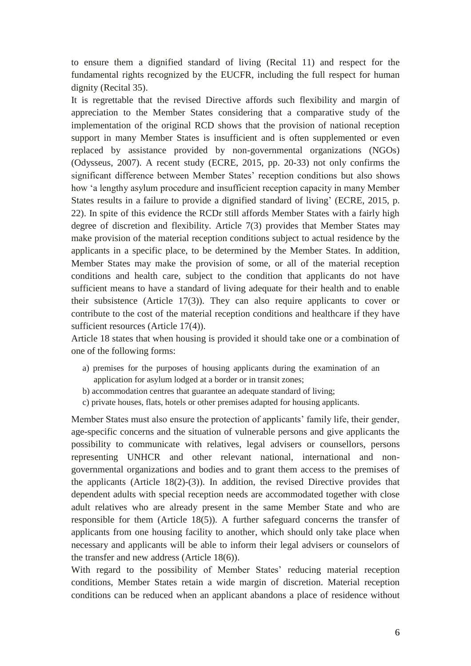to ensure them a dignified standard of living (Recital 11) and respect for the fundamental rights recognized by the EUCFR, including the full respect for human dignity (Recital 35).

It is regrettable that the revised Directive affords such flexibility and margin of appreciation to the Member States considering that a comparative study of the implementation of the original RCD shows that the provision of national reception support in many Member States is insufficient and is often supplemented or even replaced by assistance provided by non-governmental organizations (NGOs) (Odysseus, 2007). A recent study (ECRE, 2015, pp. 20-33) not only confirms the significant difference between Member States' reception conditions but also shows how 'a lengthy asylum procedure and insufficient reception capacity in many Member States results in a failure to provide a dignified standard of living' (ECRE, 2015, p. 22). In spite of this evidence the RCDr still affords Member States with a fairly high degree of discretion and flexibility. Article 7(3) provides that Member States may make provision of the material reception conditions subject to actual residence by the applicants in a specific place, to be determined by the Member States. In addition, Member States may make the provision of some, or all of the material reception conditions and health care, subject to the condition that applicants do not have sufficient means to have a standard of living adequate for their health and to enable their subsistence (Article 17(3)). They can also require applicants to cover or contribute to the cost of the material reception conditions and healthcare if they have sufficient resources (Article 17(4)).

Article 18 states that when housing is provided it should take one or a combination of one of the following forms:

- a) premises for the purposes of housing applicants during the examination of an application for asylum lodged at a border or in transit zones;
- b) accommodation centres that guarantee an adequate standard of living;
- c) private houses, flats, hotels or other premises adapted for housing applicants.

Member States must also ensure the protection of applicants' family life, their gender, age-specific concerns and the situation of vulnerable persons and give applicants the possibility to communicate with relatives, legal advisers or counsellors, persons representing UNHCR and other relevant national, international and nongovernmental organizations and bodies and to grant them access to the premises of the applicants (Article 18(2)-(3)). In addition, the revised Directive provides that dependent adults with special reception needs are accommodated together with close adult relatives who are already present in the same Member State and who are responsible for them (Article 18(5)). A further safeguard concerns the transfer of applicants from one housing facility to another, which should only take place when necessary and applicants will be able to inform their legal advisers or counselors of the transfer and new address (Article 18(6)).

With regard to the possibility of Member States' reducing material reception conditions, Member States retain a wide margin of discretion. Material reception conditions can be reduced when an applicant abandons a place of residence without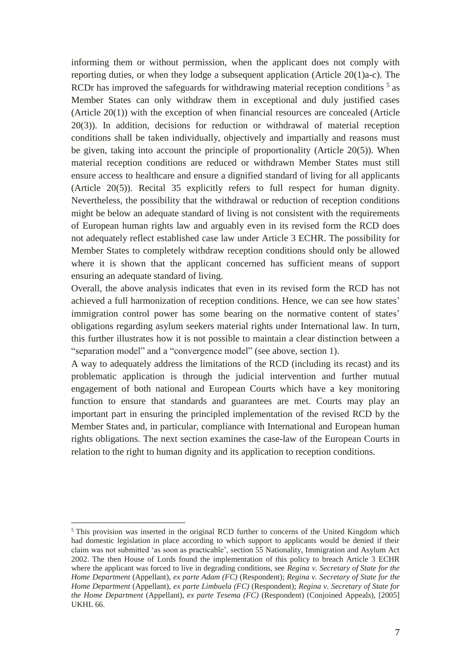informing them or without permission, when the applicant does not comply with reporting duties, or when they lodge a subsequent application (Article 20(1)a-c). The RCDr has improved the safeguards for withdrawing material reception conditions  $5$  as Member States can only withdraw them in exceptional and duly justified cases (Article 20(1)) with the exception of when financial resources are concealed (Article 20(3)). In addition, decisions for reduction or withdrawal of material reception conditions shall be taken individually, objectively and impartially and reasons must be given, taking into account the principle of proportionality (Article 20(5)). When material reception conditions are reduced or withdrawn Member States must still ensure access to healthcare and ensure a dignified standard of living for all applicants (Article 20(5)). Recital 35 explicitly refers to full respect for human dignity. Nevertheless, the possibility that the withdrawal or reduction of reception conditions might be below an adequate standard of living is not consistent with the requirements of European human rights law and arguably even in its revised form the RCD does not adequately reflect established case law under Article 3 ECHR. The possibility for Member States to completely withdraw reception conditions should only be allowed where it is shown that the applicant concerned has sufficient means of support ensuring an adequate standard of living.

Overall, the above analysis indicates that even in its revised form the RCD has not achieved a full harmonization of reception conditions. Hence, we can see how states' immigration control power has some bearing on the normative content of states' obligations regarding asylum seekers material rights under International law. In turn, this further illustrates how it is not possible to maintain a clear distinction between a "separation model" and a "convergence model" (see above, section 1).

A way to adequately address the limitations of the RCD (including its recast) and its problematic application is through the judicial intervention and further mutual engagement of both national and European Courts which have a key monitoring function to ensure that standards and guarantees are met. Courts may play an important part in ensuring the principled implementation of the revised RCD by the Member States and, in particular, compliance with International and European human rights obligations. The next section examines the case-law of the European Courts in relation to the right to human dignity and its application to reception conditions.

 $\overline{\phantom{a}}$ 

<sup>&</sup>lt;sup>5</sup> This provision was inserted in the original RCD further to concerns of the United Kingdom which had domestic legislation in place according to which support to applicants would be denied if their claim was not submitted 'as soon as practicable', section 55 Nationality, Immigration and Asylum Act 2002. The then House of Lords found the implementation of this policy to breach Article 3 ECHR where the applicant was forced to live in degrading conditions, see *Regina v. Secretary of State for the Home Department* (Appellant), *ex parte Adam (FC)* (Respondent); *Regina v. Secretary of State for the Home Department* (Appellant), *ex parte Limbuela (FC)* (Respondent); *Regina v. Secretary of State for the Home Department* (Appellant), *ex parte Tesema (FC)* (Respondent) (Conjoined Appeals), [2005] UKHL 66.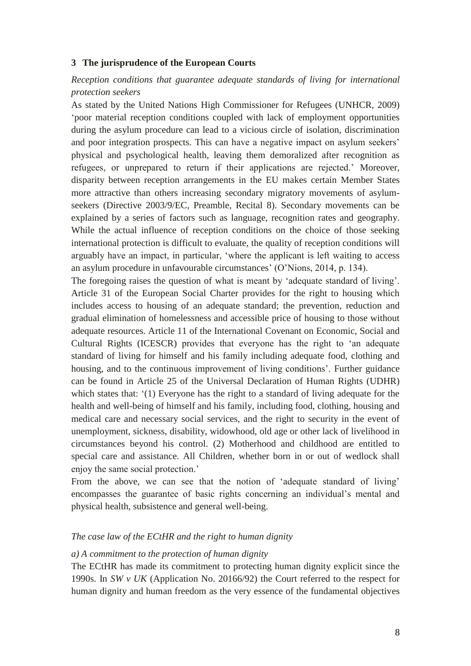#### **3 The jurisprudence of the European Courts**

# *Reception conditions that guarantee adequate standards of living for international protection seekers*

As stated by the United Nations High Commissioner for Refugees (UNHCR, 2009) 'poor material reception conditions coupled with lack of employment opportunities during the asylum procedure can lead to a vicious circle of isolation, discrimination and poor integration prospects. This can have a negative impact on asylum seekers' physical and psychological health, leaving them demoralized after recognition as refugees, or unprepared to return if their applications are rejected.' Moreover, disparity between reception arrangements in the EU makes certain Member States more attractive than others increasing secondary migratory movements of asylumseekers (Directive 2003/9/EC, Preamble, Recital 8). Secondary movements can be explained by a series of factors such as language, recognition rates and geography. While the actual influence of reception conditions on the choice of those seeking international protection is difficult to evaluate, the quality of reception conditions will arguably have an impact, in particular, 'where the applicant is left waiting to access an asylum procedure in unfavourable circumstances' (O'Nions, 2014, p. 134).

The foregoing raises the question of what is meant by 'adequate standard of living'. Article 31 of the European Social Charter provides for the right to housing which includes access to housing of an adequate standard; the prevention, reduction and gradual elimination of homelessness and accessible price of housing to those without adequate resources. Article 11 of the International Covenant on Economic, Social and Cultural Rights (ICESCR) provides that everyone has the right to 'an adequate standard of living for himself and his family including adequate food, clothing and housing, and to the continuous improvement of living conditions'. Further guidance can be found in Article 25 of the Universal Declaration of Human Rights (UDHR) which states that: '(1) Everyone has the right to a standard of living adequate for the health and well-being of himself and his family, including food, clothing, housing and medical care and necessary social services, and the right to security in the event of unemployment, sickness, disability, widowhood, old age or other lack of livelihood in circumstances beyond his control. (2) Motherhood and childhood are entitled to special care and assistance. All Children, whether born in or out of wedlock shall enjoy the same social protection.'

From the above, we can see that the notion of 'adequate standard of living' encompasses the guarantee of basic rights concerning an individual's mental and physical health, subsistence and general well-being.

#### *The case law of the ECtHR and the right to human dignity*

#### *a) A commitment to the protection of human dignity*

The ECtHR has made its commitment to protecting human dignity explicit since the 1990s. In *SW v UK* (Application No. 20166/92) the Court referred to the respect for human dignity and human freedom as the very essence of the fundamental objectives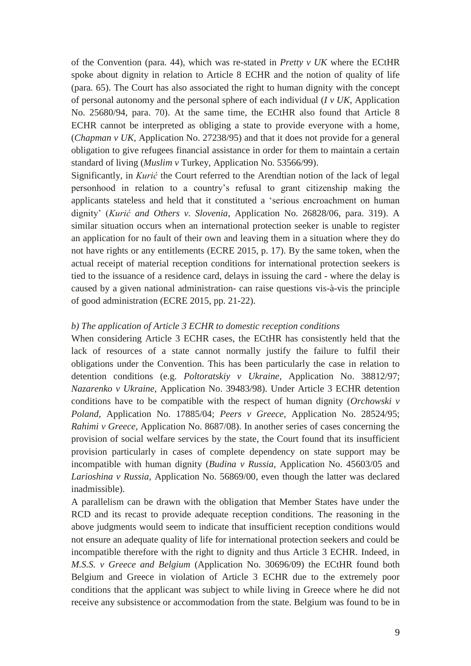of the Convention (para. 44), which was re-stated in *Pretty v UK* where the ECtHR spoke about dignity in relation to Article 8 ECHR and the notion of quality of life (para. 65). The Court has also associated the right to human dignity with the concept of personal autonomy and the personal sphere of each individual (*I v UK*, Application No. 25680/94, para. 70). At the same time, the ECtHR also found that Article 8 ECHR cannot be interpreted as obliging a state to provide everyone with a home, (*Chapman v UK,* Application No. 27238/95) and that it does not provide for a general obligation to give refugees financial assistance in order for them to maintain a certain standard of living (*Muslim v* Turkey, Application No. 53566/99).

Significantly, in *Kurić* the Court referred to the Arendtian notion of the lack of legal personhood in relation to a country's refusal to grant citizenship making the applicants stateless and held that it constituted a 'serious encroachment on human dignity' (*Kurić and Others v. Slovenia*, Application No. 26828/06, para. 319). A similar situation occurs when an international protection seeker is unable to register an application for no fault of their own and leaving them in a situation where they do not have rights or any entitlements (ECRE 2015, p. 17). By the same token, when the actual receipt of material reception conditions for international protection seekers is tied to the issuance of a residence card, delays in issuing the card - where the delay is caused by a given national administration- can raise questions vis-à-vis the principle of good administration (ECRE 2015, pp. 21-22).

#### *b) The application of Article 3 ECHR to domestic reception conditions*

When considering Article 3 ECHR cases, the ECtHR has consistently held that the lack of resources of a state cannot normally justify the failure to fulfil their obligations under the Convention. This has been particularly the case in relation to detention conditions (e.g. *Poltoratskiy v Ukraine*, Application No. 38812/97; *Nazarenko v Ukraine*, Application No. 39483/98). Under Article 3 ECHR detention conditions have to be compatible with the respect of human dignity (*Orchowski v Poland*, Application No. 17885/04; *Peers v Greece*, Application No. 28524/95; *Rahimi v Greece*, Application No. 8687/08). In another series of cases concerning the provision of social welfare services by the state, the Court found that its insufficient provision particularly in cases of complete dependency on state support may be incompatible with human dignity (*Budina v Russia*, Application No. 45603/05 and *Larioshina v Russia*, Application No. 56869/00, even though the latter was declared inadmissible).

A parallelism can be drawn with the obligation that Member States have under the RCD and its recast to provide adequate reception conditions. The reasoning in the above judgments would seem to indicate that insufficient reception conditions would not ensure an adequate quality of life for international protection seekers and could be incompatible therefore with the right to dignity and thus Article 3 ECHR. Indeed, in *M.S.S. v Greece and Belgium* (Application No. 30696/09) the ECtHR found both Belgium and Greece in violation of Article 3 ECHR due to the extremely poor conditions that the applicant was subject to while living in Greece where he did not receive any subsistence or accommodation from the state. Belgium was found to be in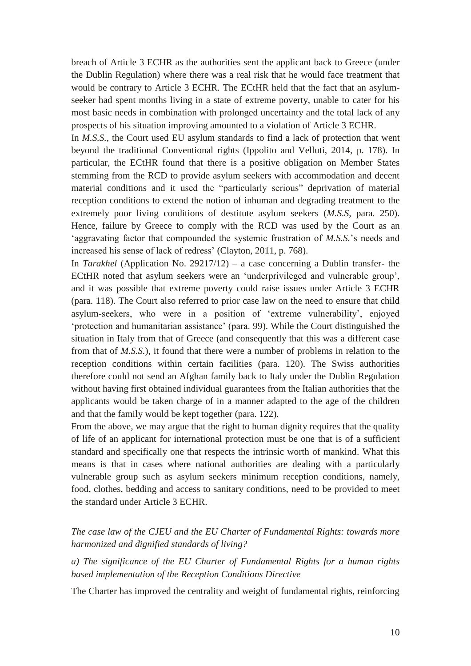breach of Article 3 ECHR as the authorities sent the applicant back to Greece (under the Dublin Regulation) where there was a real risk that he would face treatment that would be contrary to Article 3 ECHR. The ECtHR held that the fact that an asylumseeker had spent months living in a state of extreme poverty, unable to cater for his most basic needs in combination with prolonged uncertainty and the total lack of any prospects of his situation improving amounted to a violation of Article 3 ECHR.

In *M.S.S.*, the Court used EU asylum standards to find a lack of protection that went beyond the traditional Conventional rights (Ippolito and Velluti, 2014, p. 178). In particular, the ECtHR found that there is a positive obligation on Member States stemming from the RCD to provide asylum seekers with accommodation and decent material conditions and it used the "particularly serious" deprivation of material reception conditions to extend the notion of inhuman and degrading treatment to the extremely poor living conditions of destitute asylum seekers (*M.S.S*, para. 250). Hence, failure by Greece to comply with the RCD was used by the Court as an 'aggravating factor that compounded the systemic frustration of *M.S.S.*'s needs and increased his sense of lack of redress' (Clayton, 2011, p. 768).

In *Tarakhel* (Application No. 29217/12) – a case concerning a Dublin transfer- the ECtHR noted that asylum seekers were an 'underprivileged and vulnerable group', and it was possible that extreme poverty could raise issues under Article 3 ECHR (para. 118). The Court also referred to prior case law on the need to ensure that child asylum-seekers, who were in a position of 'extreme vulnerability', enjoyed 'protection and humanitarian assistance' (para. 99). While the Court distinguished the situation in Italy from that of Greece (and consequently that this was a different case from that of *M.S.S.*), it found that there were a number of problems in relation to the reception conditions within certain facilities (para. 120). The Swiss authorities therefore could not send an Afghan family back to Italy under the Dublin Regulation without having first obtained individual guarantees from the Italian authorities that the applicants would be taken charge of in a manner adapted to the age of the children and that the family would be kept together (para. 122).

From the above, we may argue that the right to human dignity requires that the quality of life of an applicant for international protection must be one that is of a sufficient standard and specifically one that respects the intrinsic worth of mankind. What this means is that in cases where national authorities are dealing with a particularly vulnerable group such as asylum seekers minimum reception conditions, namely, food, clothes, bedding and access to sanitary conditions, need to be provided to meet the standard under Article 3 ECHR.

### *The case law of the CJEU and the EU Charter of Fundamental Rights: towards more harmonized and dignified standards of living?*

*a) The significance of the EU Charter of Fundamental Rights for a human rights based implementation of the Reception Conditions Directive*

The Charter has improved the centrality and weight of fundamental rights, reinforcing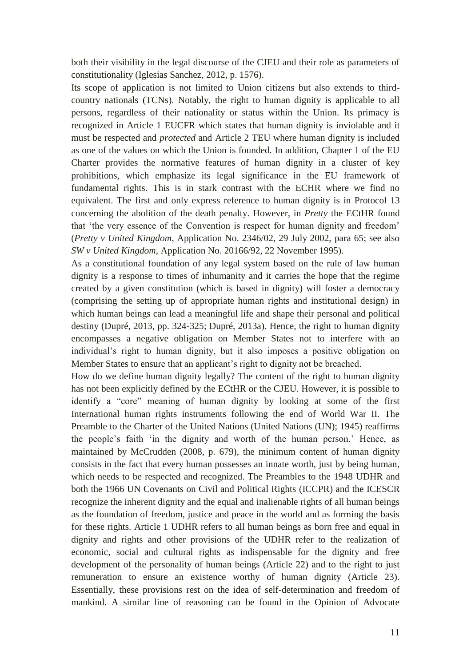both their visibility in the legal discourse of the CJEU and their role as parameters of constitutionality (Iglesias Sanchez, 2012, p. 1576).

Its scope of application is not limited to Union citizens but also extends to thirdcountry nationals (TCNs). Notably, the right to human dignity is applicable to all persons, regardless of their nationality or status within the Union. Its primacy is recognized in Article 1 EUCFR which states that human dignity is inviolable and it must be respected and *protected* and Article 2 TEU where human dignity is included as one of the values on which the Union is founded. In addition, Chapter 1 of the EU Charter provides the normative features of human dignity in a cluster of key prohibitions, which emphasize its legal significance in the EU framework of fundamental rights. This is in stark contrast with the ECHR where we find no equivalent. The first and only express reference to human dignity is in Protocol 13 concerning the abolition of the death penalty. However, in *Pretty* the ECtHR found that 'the very essence of the Convention is respect for human dignity and freedom' (*Pretty v United Kingdom*, Application No. 2346/02, 29 July 2002, para 65; see also *SW v United Kingdom*, Application No. 20166/92, 22 November 1995).

As a constitutional foundation of any legal system based on the rule of law human dignity is a response to times of inhumanity and it carries the hope that the regime created by a given constitution (which is based in dignity) will foster a democracy (comprising the setting up of appropriate human rights and institutional design) in which human beings can lead a meaningful life and shape their personal and political destiny (Dupré, 2013, pp. 324-325; Dupré, 2013a). Hence, the right to human dignity encompasses a negative obligation on Member States not to interfere with an individual's right to human dignity, but it also imposes a positive obligation on Member States to ensure that an applicant's right to dignity not be breached.

How do we define human dignity legally? The content of the right to human dignity has not been explicitly defined by the ECtHR or the CJEU. However, it is possible to identify a "core" meaning of human dignity by looking at some of the first International human rights instruments following the end of World War II. The Preamble to the Charter of the United Nations (United Nations (UN); 1945) reaffirms the people's faith 'in the dignity and worth of the human person.' Hence, as maintained by McCrudden (2008, p. 679), the minimum content of human dignity consists in the fact that every human possesses an innate worth, just by being human, which needs to be respected and recognized. The Preambles to the 1948 UDHR and both the 1966 UN Covenants on Civil and Political Rights (ICCPR) and the ICESCR recognize the inherent dignity and the equal and inalienable rights of all human beings as the foundation of freedom, justice and peace in the world and as forming the basis for these rights. Article 1 UDHR refers to all human beings as born free and equal in dignity and rights and other provisions of the UDHR refer to the realization of economic, social and cultural rights as indispensable for the dignity and free development of the personality of human beings (Article 22) and to the right to just remuneration to ensure an existence worthy of human dignity (Article 23). Essentially, these provisions rest on the idea of self-determination and freedom of mankind. A similar line of reasoning can be found in the Opinion of Advocate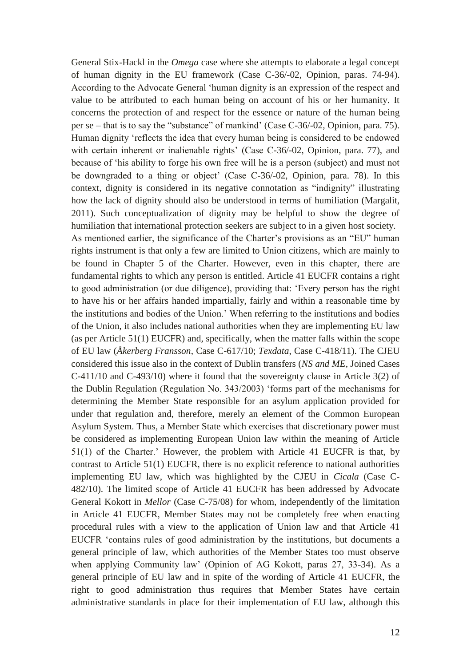General Stix-Hackl in the *Omega* case where she attempts to elaborate a legal concept of human dignity in the EU framework (Case C-36/-02, Opinion, paras. 74-94). According to the Advocate General 'human dignity is an expression of the respect and value to be attributed to each human being on account of his or her humanity. It concerns the protection of and respect for the essence or nature of the human being per se – that is to say the "substance" of mankind' (Case C-36/-02, Opinion, para. 75). Human dignity 'reflects the idea that every human being is considered to be endowed with certain inherent or inalienable rights' (Case C-36/-02, Opinion, para. 77), and because of 'his ability to forge his own free will he is a person (subject) and must not be downgraded to a thing or object' (Case C-36/-02, Opinion, para. 78). In this context, dignity is considered in its negative connotation as "indignity" illustrating how the lack of dignity should also be understood in terms of humiliation (Margalit, 2011). Such conceptualization of dignity may be helpful to show the degree of humiliation that international protection seekers are subject to in a given host society. As mentioned earlier, the significance of the Charter's provisions as an "EU" human rights instrument is that only a few are limited to Union citizens, which are mainly to be found in Chapter 5 of the Charter. However, even in this chapter, there are fundamental rights to which any person is entitled. Article 41 EUCFR contains a right to good administration (or due diligence), providing that: 'Every person has the right to have his or her affairs handed impartially, fairly and within a reasonable time by the institutions and bodies of the Union.' When referring to the institutions and bodies of the Union, it also includes national authorities when they are implementing EU law (as per Article 51(1) EUCFR) and, specifically, when the matter falls within the scope of EU law (*Åkerberg Fransson*, Case C-617/10; *Texdata*, Case C-418/11). The CJEU considered this issue also in the context of Dublin transfers (*NS and ME*, Joined Cases C-411/10 and C-493/10) where it found that the sovereignty clause in Article 3(2) of the Dublin Regulation (Regulation No. 343/2003) 'forms part of the mechanisms for determining the Member State responsible for an asylum application provided for under that regulation and, therefore, merely an element of the Common European Asylum System. Thus, a Member State which exercises that discretionary power must be considered as implementing European Union law within the meaning of Article 51(1) of the Charter.' However, the problem with Article 41 EUCFR is that, by contrast to Article 51(1) EUCFR, there is no explicit reference to national authorities implementing EU law, which was highlighted by the CJEU in *Cicala* (Case C-482/10). The limited scope of Article 41 EUCFR has been addressed by Advocate General Kokott in *Mellor* (Case C-75/08) for whom, independently of the limitation in Article 41 EUCFR, Member States may not be completely free when enacting procedural rules with a view to the application of Union law and that Article 41 EUCFR 'contains rules of good administration by the institutions, but documents a general principle of law, which authorities of the Member States too must observe when applying Community law' (Opinion of AG Kokott, paras 27, 33-34). As a general principle of EU law and in spite of the wording of Article 41 EUCFR, the right to good administration thus requires that Member States have certain administrative standards in place for their implementation of EU law, although this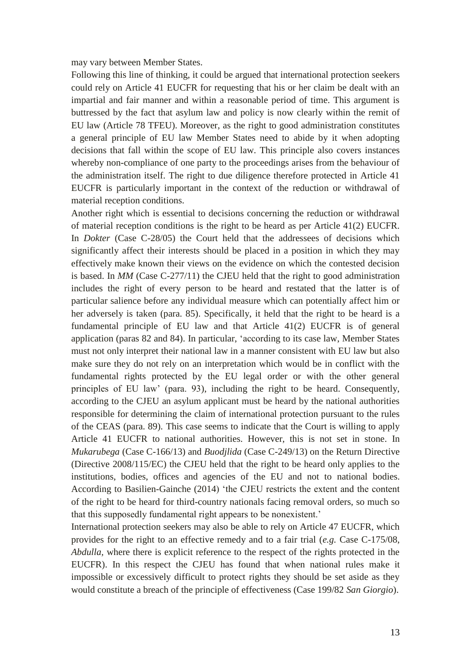may vary between Member States.

Following this line of thinking, it could be argued that international protection seekers could rely on Article 41 EUCFR for requesting that his or her claim be dealt with an impartial and fair manner and within a reasonable period of time. This argument is buttressed by the fact that asylum law and policy is now clearly within the remit of EU law (Article 78 TFEU). Moreover, as the right to good administration constitutes a general principle of EU law Member States need to abide by it when adopting decisions that fall within the scope of EU law. This principle also covers instances whereby non-compliance of one party to the proceedings arises from the behaviour of the administration itself. The right to due diligence therefore protected in Article 41 EUCFR is particularly important in the context of the reduction or withdrawal of material reception conditions.

Another right which is essential to decisions concerning the reduction or withdrawal of material reception conditions is the right to be heard as per Article 41(2) EUCFR. In *Dokter* (Case C-28/05) the Court held that the addressees of decisions which significantly affect their interests should be placed in a position in which they may effectively make known their views on the evidence on which the contested decision is based. In *MM* (Case C-277/11) the CJEU held that the right to good administration includes the right of every person to be heard and restated that the latter is of particular salience before any individual measure which can potentially affect him or her adversely is taken (para. 85). Specifically, it held that the right to be heard is a fundamental principle of EU law and that Article 41(2) EUCFR is of general application (paras 82 and 84). In particular, 'according to its case law, Member States must not only interpret their national law in a manner consistent with EU law but also make sure they do not rely on an interpretation which would be in conflict with the fundamental rights protected by the EU legal order or with the other general principles of EU law' (para. 93), including the right to be heard. Consequently, according to the CJEU an asylum applicant must be heard by the national authorities responsible for determining the claim of international protection pursuant to the rules of the CEAS (para. 89). This case seems to indicate that the Court is willing to apply Article 41 EUCFR to national authorities. However, this is not set in stone. In *Mukarubega* (Case C-166/13) and *Buodjlida* (Case C-249/13) on the Return Directive (Directive 2008/115/EC) the CJEU held that the right to be heard only applies to the institutions, bodies, offices and agencies of the EU and not to national bodies. According to Basilien-Gainche (2014) 'the CJEU restricts the extent and the content of the right to be heard for third-country nationals facing removal orders, so much so that this supposedly fundamental right appears to be nonexistent.'

International protection seekers may also be able to rely on Article 47 EUCFR, which provides for the right to an effective remedy and to a fair trial (*e.g.* Case C-175/08, *Abdulla,* where there is explicit reference to the respect of the rights protected in the EUCFR). In this respect the CJEU has found that when national rules make it impossible or excessively difficult to protect rights they should be set aside as they would constitute a breach of the principle of effectiveness (Case 199/82 *San Giorgio*).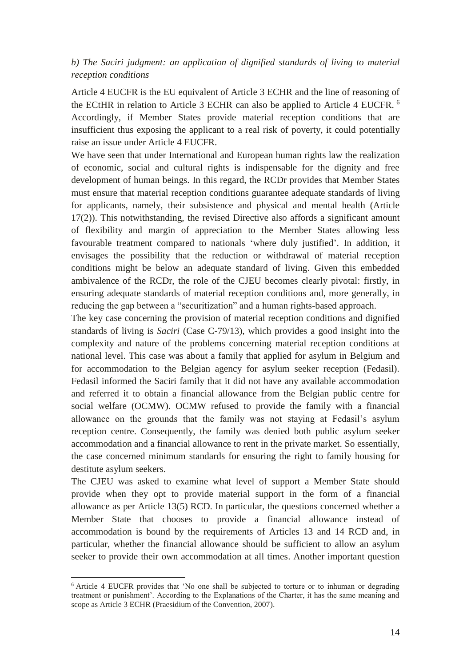# *b) The Saciri judgment: an application of dignified standards of living to material reception conditions*

Article 4 EUCFR is the EU equivalent of Article 3 ECHR and the line of reasoning of the ECtHR in relation to Article 3 ECHR can also be applied to Article 4 EUCFR. <sup>6</sup> Accordingly, if Member States provide material reception conditions that are insufficient thus exposing the applicant to a real risk of poverty, it could potentially raise an issue under Article 4 EUCFR.

We have seen that under International and European human rights law the realization of economic, social and cultural rights is indispensable for the dignity and free development of human beings. In this regard, the RCDr provides that Member States must ensure that material reception conditions guarantee adequate standards of living for applicants, namely, their subsistence and physical and mental health (Article 17(2)). This notwithstanding, the revised Directive also affords a significant amount of flexibility and margin of appreciation to the Member States allowing less favourable treatment compared to nationals 'where duly justified'. In addition, it envisages the possibility that the reduction or withdrawal of material reception conditions might be below an adequate standard of living. Given this embedded ambivalence of the RCDr, the role of the CJEU becomes clearly pivotal: firstly, in ensuring adequate standards of material reception conditions and, more generally, in reducing the gap between a "securitization" and a human rights-based approach.

The key case concerning the provision of material reception conditions and dignified standards of living is *Saciri* (Case C-79/13), which provides a good insight into the complexity and nature of the problems concerning material reception conditions at national level. This case was about a family that applied for asylum in Belgium and for accommodation to the Belgian agency for asylum seeker reception (Fedasil). Fedasil informed the Saciri family that it did not have any available accommodation and referred it to obtain a financial allowance from the Belgian public centre for social welfare (OCMW). OCMW refused to provide the family with a financial allowance on the grounds that the family was not staying at Fedasil's asylum reception centre. Consequently, the family was denied both public asylum seeker accommodation and a financial allowance to rent in the private market. So essentially, the case concerned minimum standards for ensuring the right to family housing for destitute asylum seekers.

The CJEU was asked to examine what level of support a Member State should provide when they opt to provide material support in the form of a financial allowance as per Article 13(5) RCD. In particular, the questions concerned whether a Member State that chooses to provide a financial allowance instead of accommodation is bound by the requirements of Articles 13 and 14 RCD and, in particular, whether the financial allowance should be sufficient to allow an asylum seeker to provide their own accommodation at all times. Another important question

 $\overline{\phantom{a}}$ 

<sup>6</sup> Article 4 EUCFR provides that 'No one shall be subjected to torture or to inhuman or degrading treatment or punishment'. According to the Explanations of the Charter, it has the same meaning and scope as Article 3 ECHR (Praesidium of the Convention, 2007).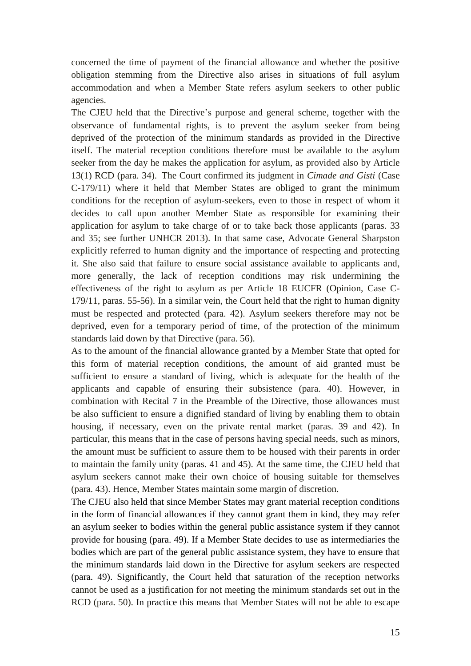concerned the time of payment of the financial allowance and whether the positive obligation stemming from the Directive also arises in situations of full asylum accommodation and when a Member State refers asylum seekers to other public agencies.

The CJEU held that the Directive's purpose and general scheme, together with the observance of fundamental rights, is to prevent the asylum seeker from being deprived of the protection of the minimum standards as provided in the Directive itself. The material reception conditions therefore must be available to the asylum seeker from the day he makes the application for asylum, as provided also by Article 13(1) RCD (para. 34). The Court confirmed its judgment in *Cimade and Gisti* (Case C-179/11) where it held that Member States are obliged to grant the minimum conditions for the reception of asylum-seekers, even to those in respect of whom it decides to call upon another Member State as responsible for examining their application for asylum to take charge of or to take back those applicants (paras. 33 and 35; see further UNHCR 2013). In that same case, Advocate General Sharpston explicitly referred to human dignity and the importance of respecting and protecting it. She also said that failure to ensure social assistance available to applicants and, more generally, the lack of reception conditions may risk undermining the effectiveness of the right to asylum as per Article 18 EUCFR (Opinion, Case C-179/11, paras. 55-56). In a similar vein, the Court held that the right to human dignity must be respected and protected (para. 42). Asylum seekers therefore may not be deprived, even for a temporary period of time, of the protection of the minimum standards laid down by that Directive (para. 56).

As to the amount of the financial allowance granted by a Member State that opted for this form of material reception conditions, the amount of aid granted must be sufficient to ensure a standard of living, which is adequate for the health of the applicants and capable of ensuring their subsistence (para. 40). However, in combination with Recital 7 in the Preamble of the Directive, those allowances must be also sufficient to ensure a dignified standard of living by enabling them to obtain housing, if necessary, even on the private rental market (paras. 39 and 42). In particular, this means that in the case of persons having special needs, such as minors, the amount must be sufficient to assure them to be housed with their parents in order to maintain the family unity (paras. 41 and 45). At the same time, the CJEU held that asylum seekers cannot make their own choice of housing suitable for themselves (para. 43). Hence, Member States maintain some margin of discretion.

The CJEU also held that since Member States may grant material reception conditions in the form of financial allowances if they cannot grant them in kind, they may refer an asylum seeker to bodies within the general public assistance system if they cannot provide for housing (para. 49). If a Member State decides to use as intermediaries the bodies which are part of the general public assistance system, they have to ensure that the minimum standards laid down in the Directive for asylum seekers are respected (para. 49). Significantly, the Court held that saturation of the reception networks cannot be used as a justification for not meeting the minimum standards set out in the RCD (para. 50). In practice this means that Member States will not be able to escape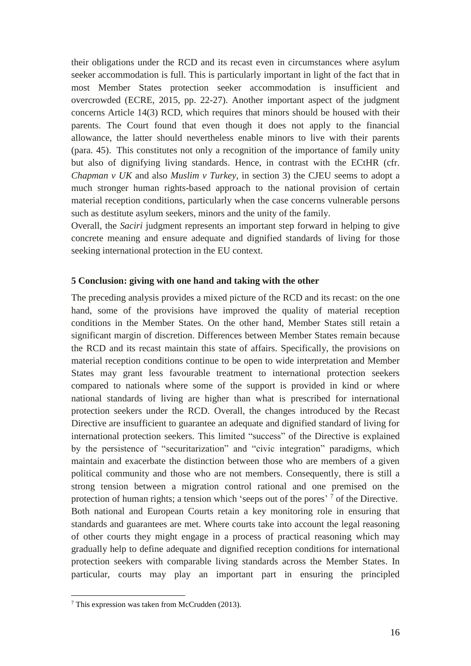their obligations under the RCD and its recast even in circumstances where asylum seeker accommodation is full. This is particularly important in light of the fact that in most Member States protection seeker accommodation is insufficient and overcrowded (ECRE, 2015, pp. 22-27). Another important aspect of the judgment concerns Article 14(3) RCD, which requires that minors should be housed with their parents. The Court found that even though it does not apply to the financial allowance, the latter should nevertheless enable minors to live with their parents (para. 45). This constitutes not only a recognition of the importance of family unity but also of dignifying living standards. Hence, in contrast with the ECtHR (cfr. *Chapman v UK* and also *Muslim v Turkey*, in section 3) the CJEU seems to adopt a much stronger human rights-based approach to the national provision of certain material reception conditions, particularly when the case concerns vulnerable persons such as destitute asylum seekers, minors and the unity of the family.

Overall, the *Saciri* judgment represents an important step forward in helping to give concrete meaning and ensure adequate and dignified standards of living for those seeking international protection in the EU context.

#### **5 Conclusion: giving with one hand and taking with the other**

The preceding analysis provides a mixed picture of the RCD and its recast: on the one hand, some of the provisions have improved the quality of material reception conditions in the Member States. On the other hand, Member States still retain a significant margin of discretion. Differences between Member States remain because the RCD and its recast maintain this state of affairs. Specifically, the provisions on material reception conditions continue to be open to wide interpretation and Member States may grant less favourable treatment to international protection seekers compared to nationals where some of the support is provided in kind or where national standards of living are higher than what is prescribed for international protection seekers under the RCD. Overall, the changes introduced by the Recast Directive are insufficient to guarantee an adequate and dignified standard of living for international protection seekers. This limited "success" of the Directive is explained by the persistence of "securitarization" and "civic integration" paradigms, which maintain and exacerbate the distinction between those who are members of a given political community and those who are not members. Consequently, there is still a strong tension between a migration control rational and one premised on the protection of human rights; a tension which 'seeps out of the pores' <sup>7</sup> of the Directive. Both national and European Courts retain a key monitoring role in ensuring that standards and guarantees are met. Where courts take into account the legal reasoning of other courts they might engage in a process of practical reasoning which may gradually help to define adequate and dignified reception conditions for international protection seekers with comparable living standards across the Member States. In particular, courts may play an important part in ensuring the principled

 $\overline{\phantom{a}}$ 

<sup>7</sup> This expression was taken from McCrudden (2013).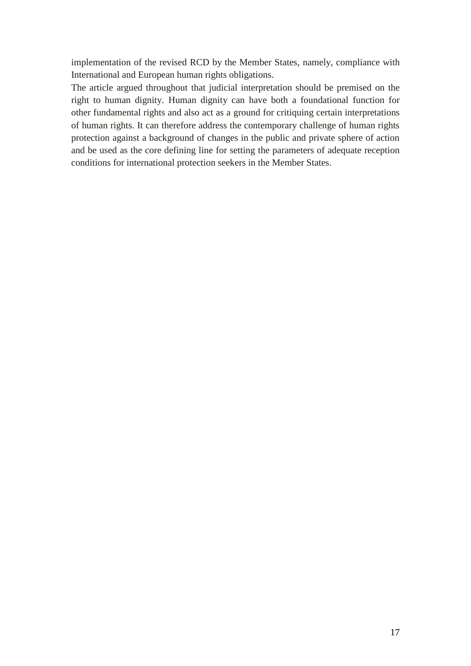implementation of the revised RCD by the Member States, namely, compliance with International and European human rights obligations.

The article argued throughout that judicial interpretation should be premised on the right to human dignity. Human dignity can have both a foundational function for other fundamental rights and also act as a ground for critiquing certain interpretations of human rights. It can therefore address the contemporary challenge of human rights protection against a background of changes in the public and private sphere of action and be used as the core defining line for setting the parameters of adequate reception conditions for international protection seekers in the Member States.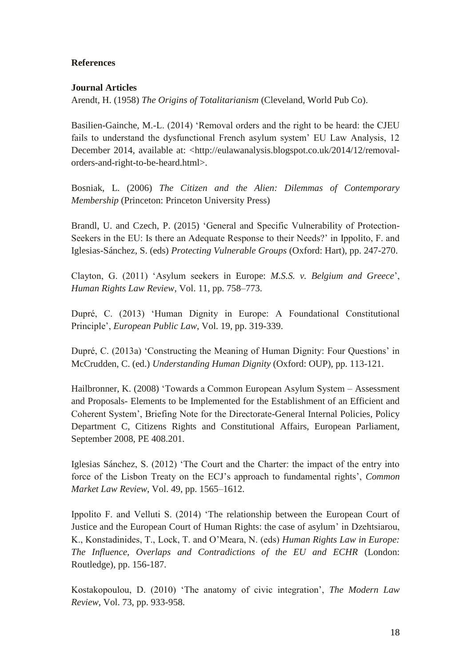#### **References**

#### **Journal Articles**

Arendt, H. (1958) *The Origins of Totalitarianism* (Cleveland, World Pub Co).

Basilien-Gainche, M.-L. (2014) 'Removal orders and the right to be heard: the CJEU fails to understand the dysfunctional French asylum system' EU Law Analysis, 12 December 2014, available at: <http://eulawanalysis.blogspot.co.uk/2014/12/removalorders-and-right-to-be-heard.html>.

Bosniak, L. (2006) *The Citizen and the Alien: Dilemmas of Contemporary Membership* (Princeton: Princeton University Press)

Brandl, U. and Czech, P. (2015) 'General and Specific Vulnerability of Protection-Seekers in the EU: Is there an Adequate Response to their Needs?' in Ippolito, F. and Iglesias-Sánchez, S. (eds) *Protecting Vulnerable Groups* (Oxford: Hart), pp. 247-270.

Clayton, G. (2011) 'Asylum seekers in Europe: *M.S.S. v. Belgium and Greece*', *Human Rights Law Review*, Vol. 11, pp. 758–773.

Dupré, C. (2013) 'Human Dignity in Europe: A Foundational Constitutional Principle', *European Public Law*, Vol. 19, pp. 319-339.

Dupré, C. (2013a) 'Constructing the Meaning of Human Dignity: Four Questions' in McCrudden, C. (ed.) *Understanding Human Dignity* (Oxford: OUP), pp. 113-121.

Hailbronner, K. (2008) 'Towards a Common European Asylum System – Assessment and Proposals- Elements to be Implemented for the Establishment of an Efficient and Coherent System', Briefing Note for the Directorate-General Internal Policies, Policy Department C, Citizens Rights and Constitutional Affairs, European Parliament, September 2008, PE 408.201.

Iglesias Sánchez, S. (2012) 'The Court and the Charter: the impact of the entry into force of the Lisbon Treaty on the ECJ's approach to fundamental rights', *Common Market Law Review*, Vol. 49, pp. 1565–1612.

Ippolito F. and Velluti S. (2014) 'The relationship between the European Court of Justice and the European Court of Human Rights: the case of asylum' in Dzehtsiarou, K., Konstadinides, T., Lock, T. and O'Meara, N. (eds) *Human Rights Law in Europe: The Influence, Overlaps and Contradictions of the EU and ECHR* (London: Routledge), pp. 156-187.

Kostakopoulou, D. (2010) 'The anatomy of civic integration', *The Modern Law Review*, Vol. 73, pp. 933-958.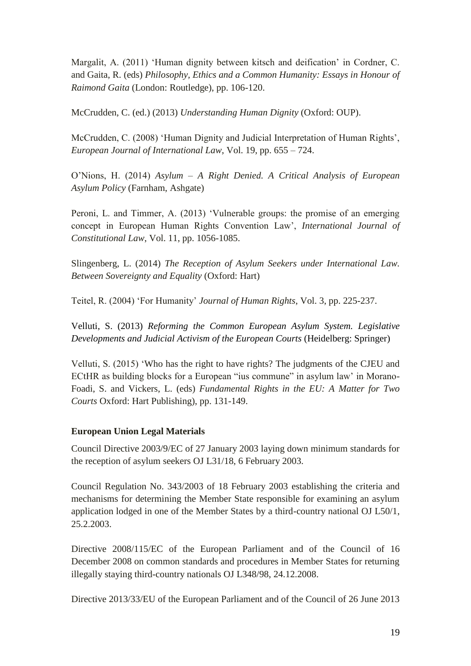Margalit, A. (2011) 'Human dignity between kitsch and deification' in Cordner, C. and Gaita, R. (eds) *Philosophy, Ethics and a Common Humanity: Essays in Honour of Raimond Gaita* (London: Routledge), pp. 106-120.

McCrudden, C. (ed.) (2013) *Understanding Human Dignity* (Oxford: OUP).

McCrudden, C. (2008) 'Human Dignity and Judicial Interpretation of Human Rights', *European Journal of International Law*, Vol. 19, pp. 655 – 724.

O'Nions, H. (2014) *Asylum – A Right Denied. A Critical Analysis of European Asylum Policy* (Farnham, Ashgate)

Peroni, L. and Timmer, A. (2013) 'Vulnerable groups: the promise of an emerging concept in European Human Rights Convention Law', *International Journal of Constitutional Law*, Vol. 11, pp. 1056-1085.

Slingenberg, L. (2014) *The Reception of Asylum Seekers under International Law. Between Sovereignty and Equality* (Oxford: Hart)

Teitel, R. (2004) 'For Humanity' *Journal of Human Rights*, Vol. 3, pp. 225-237.

Velluti, S. (2013) *Reforming the Common European Asylum System. Legislative Developments and Judicial Activism of the European Courts* (Heidelberg: Springer)

Velluti, S. (2015) 'Who has the right to have rights? The judgments of the CJEU and ECtHR as building blocks for a European "ius commune" in asylum law' in Morano-Foadi, S. and Vickers, L. (eds) *Fundamental Rights in the EU: A Matter for Two Courts* Oxford: Hart Publishing), pp. 131-149.

# **European Union Legal Materials**

Council Directive 2003/9/EC of 27 January 2003 laying down minimum standards for the reception of asylum seekers OJ L31/18, 6 February 2003.

Council Regulation No. 343/2003 of 18 February 2003 establishing the criteria and mechanisms for determining the Member State responsible for examining an asylum application lodged in one of the Member States by a third-country national OJ L50/1, 25.2.2003.

Directive 2008/115/EC of the European Parliament and of the Council of 16 December 2008 on common standards and procedures in Member States for returning illegally staying third-country nationals OJ L348/98, 24.12.2008.

Directive 2013/33/EU of the European Parliament and of the Council of 26 June 2013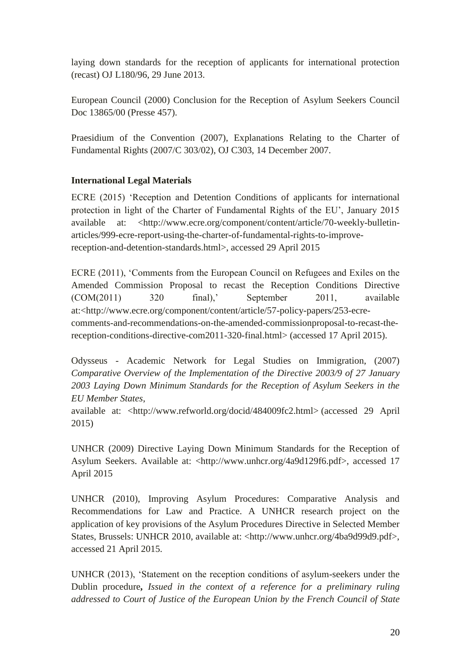laying down standards for the reception of applicants for international protection (recast) OJ L180/96, 29 June 2013.

European Council (2000) Conclusion for the Reception of Asylum Seekers Council Doc 13865/00 (Presse 457).

Praesidium of the Convention (2007), Explanations Relating to the Charter of Fundamental Rights (2007/C 303/02), OJ C303, 14 December 2007.

# **International Legal Materials**

ECRE (2015) 'Reception and Detention Conditions of applicants for international protection in light of the Charter of Fundamental Rights of the EU', January 2015 available at: <http://www.ecre.org/component/content/article/70-weekly-bulletinarticles/999-ecre-report-using-the-charter-of-fundamental-rights-to-improvereception-and-detention-standards.html>, accessed 29 April 2015

ECRE (2011), 'Comments from the European Council on Refugees and Exiles on the Amended Commission Proposal to recast the Reception Conditions Directive (COM(2011) 320 final),' September 2011, available at:<http://www.ecre.org/component/content/article/57-policy-papers/253-ecrecomments-and-recommendations-on-the-amended-commissionproposal-to-recast-thereception-conditions-directive-com2011-320-final.html> (accessed 17 April 2015).

Odysseus - Academic Network for Legal Studies on Immigration, (2007) *Comparative Overview of the Implementation of the Directive 2003/9 of 27 January 2003 Laying Down Minimum Standards for the Reception of Asylum Seekers in the EU Member States*,

available at: <http://www.refworld.org/docid/484009fc2.html> (accessed 29 April 2015)

UNHCR (2009) Directive Laying Down Minimum Standards for the Reception of Asylum Seekers. Available at: <http://www.unhcr.org/4a9d129f6.pdf>, accessed 17 April 2015

UNHCR (2010), Improving Asylum Procedures: Comparative Analysis and Recommendations for Law and Practice. A UNHCR research project on the application of key provisions of the Asylum Procedures Directive in Selected Member States, Brussels: UNHCR 2010, available at: <http://www.unhcr.org/4ba9d99d9.pdf>, accessed 21 April 2015.

UNHCR (2013), 'Statement on the reception conditions of asylum-seekers under the Dublin procedure**,** *Issued in the context of a reference for a preliminary ruling addressed to Court of Justice of the European Union by the French Council of State*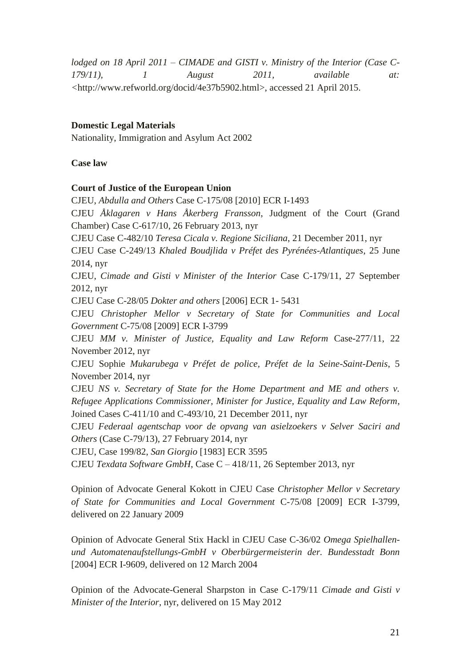*lodged on 18 April 2011 – CIMADE and GISTI v. Ministry of the Interior (Case C-179/11), 1 August 2011, available at: <*http://www.refworld.org/docid/4e37b5902.html>, accessed 21 April 2015.

## **Domestic Legal Materials**

Nationality, Immigration and Asylum Act 2002

#### **Case law**

#### **Court of Justice of the European Union**

CJEU, *Abdulla and Others* Case C-175/08 [2010] ECR I-1493

CJEU *Åklagaren v Hans Åkerberg Fransson*, Judgment of the Court (Grand Chamber) Case C-617/10, 26 February 2013, nyr

CJEU Case C-482/10 *Teresa Cicala v. Regione Siciliana*, 21 December 2011, nyr

CJEU Case C-249/13 *Khaled Boudjlida v Préfet des Pyrénées-Atlantiques*, 25 June 2014, nyr

CJEU, *Cimade and Gisti v Minister of the Interior* Case C-179/11, 27 September 2012, nyr

CJEU Case C-28/05 *Dokter and others* [2006] ECR 1- 5431

CJEU *Christopher Mellor v Secretary of State for Communities and Local Government* C-75/08 [2009] ECR I-3799

CJEU *MM v. Minister of Justice, Equality and Law Reform* Case-277/11, 22 November 2012, nyr

CJEU Sophie *Mukarubega v Préfet de police, Préfet de la Seine-Saint-Denis*, 5 November 2014, nyr

CJEU *NS v. Secretary of State for the Home Department and ME and others v. Refugee Applications Commissioner, Minister for Justice, Equality and Law Reform*, Joined Cases C-411/10 and C-493/10, 21 December 2011, nyr

CJEU *Federaal agentschap voor de opvang van asielzoekers v Selver Saciri and Others* (Case C-79/13), 27 February 2014, nyr

CJEU, Case 199/82, *San Giorgio* [1983] ECR 3595

CJEU *Texdata Software GmbH*, Case C – 418/11, 26 September 2013, nyr

Opinion of Advocate General Kokott in CJEU Case *Christopher Mellor v Secretary of State for Communities and Local Government* C-75/08 [2009] ECR I-3799, delivered on 22 January 2009

Opinion of Advocate General Stix Hackl in CJEU Case C-36/02 *Omega Spielhallenund Automatenaufstellungs-GmbH v Oberbürgermeisterin der. Bundesstadt Bonn* [2004] ECR I-9609, delivered on 12 March 2004

Opinion of the Advocate-General Sharpston in Case C-179/11 *Cimade and Gisti v Minister of the Interior*, nyr, delivered on 15 May 2012